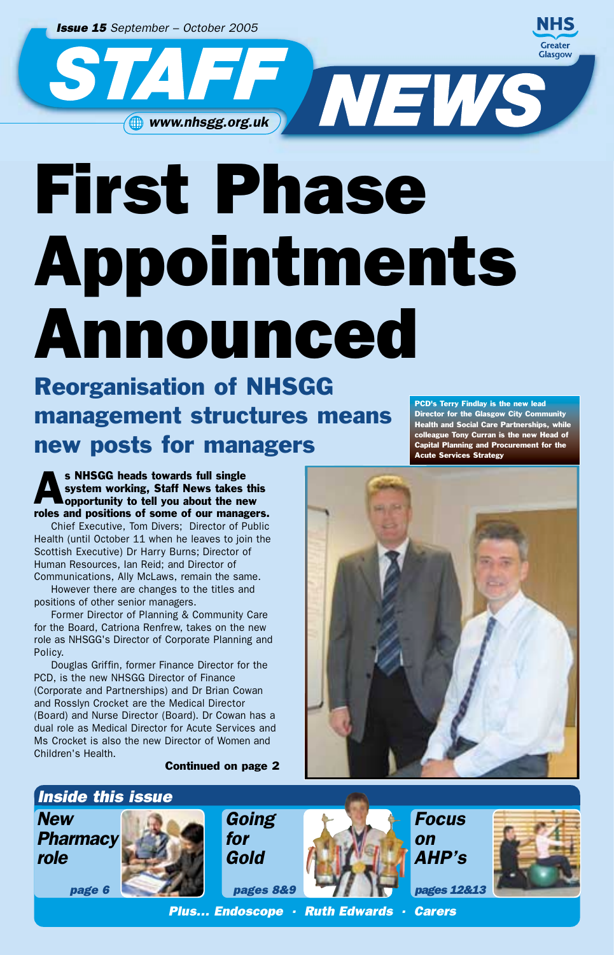*Issue 15 September – October 2005*



First Phase Appointments Announced

Reorganisation of NHSGG management structures means new posts for managers

s NHSGG heads towards full single<br>system working, Staff News takes<br>opportunity to tell you about the ne system working, Staff News takes this opportunity to tell you about the new roles and positions of some of our managers.

Chief Executive, Tom Divers; Director of Public Health (until October 11 when he leaves to join the Scottish Executive) Dr Harry Burns; Director of Human Resources, Ian Reid; and Director of Communications, Ally McLaws, remain the same.

However there are changes to the titles and positions of other senior managers.

Former Director of Planning & Community Care for the Board, Catriona Renfrew, takes on the new role as NHSGG's Director of Corporate Planning and Policy.

Douglas Griffin, former Finance Director for the PCD, is the new NHSGG Director of Finance (Corporate and Partnerships) and Dr Brian Cowan and Rosslyn Crocket are the Medical Director (Board) and Nurse Director (Board). Dr Cowan has a dual role as Medical Director for Acute Services and Ms Crocket is also the new Director of Women and Children's Health.

#### Continued on page 2

PCD's Terry Findlay is the new lead Director for the Glasgow City Community Health and Social Care Partnerships, while colleague Tony Curran is the new Head of Capital Planning and Procurement for the Acute Services Strategy



## *Inside this issue*





*Going for Gold* 



*Focus on AHP's*

*pages 12&13*



*Plus… Endoscope · Ruth Edwards · Carers*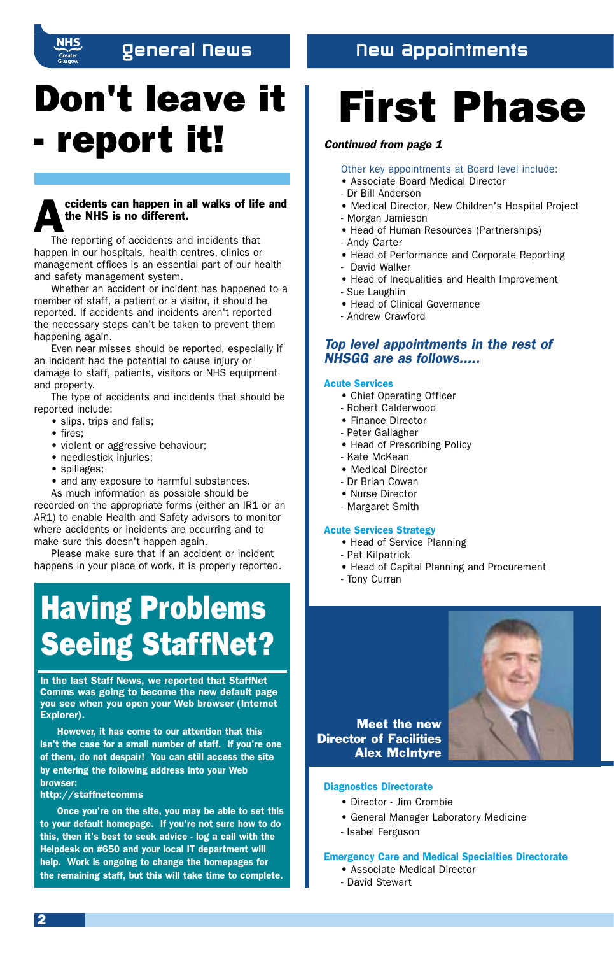## General News

## New Appointments

## Don't leave it - report it!

## ccidents can happen in all walks of life and the NHS is no different.

The reporting of accidents and incidents that happen in our hospitals, health centres, clinics or management offices is an essential part of our health and safety management system.

Whether an accident or incident has happened to a member of staff, a patient or a visitor, it should be reported. If accidents and incidents aren't reported the necessary steps can't be taken to prevent them happening again.

Even near misses should be reported, especially if an incident had the potential to cause injury or damage to staff, patients, visitors or NHS equipment and property.

The type of accidents and incidents that should be reported include:

- slips, trips and falls;
- fires;
- violent or aggressive behaviour;
- needlestick injuries;
- spillages;
- and any exposure to harmful substances.

As much information as possible should be recorded on the appropriate forms (either an IR1 or an AR1) to enable Health and Safety advisors to monitor where accidents or incidents are occurring and to

make sure this doesn't happen again. Please make sure that if an accident or incident happens in your place of work, it is properly reported.

## Having Problems Seeing StaffNet?

In the last Staff News, we reported that StaffNet Comms was going to become the new default page you see when you open your Web browser (Internet Explorer).

However, it has come to our attention that this isn't the case for a small number of staff. If you're one of them, do not despair! You can still access the site by entering the following address into your Web browser:

#### http://staffnetcomms

Once you're on the site, you may be able to set this to your default homepage. If you're not sure how to do this, then it's best to seek advice - log a call with the Helpdesk on #650 and your local IT department will help. Work is ongoing to change the homepages for the remaining staff, but this will take time to complete.

# First Phase

### *Continued from page 1*

#### Other key appointments at Board level include:

- Associate Board Medical Director
- Dr Bill Anderson
- Medical Director, New Children's Hospital Project
- Morgan Jamieson
- Head of Human Resources (Partnerships)
- Andy Carter
- Head of Performance and Corporate Reporting
- David Walker
- Head of Inequalities and Health Improvement
- Sue Laughlin
- Head of Clinical Governance
- Andrew Crawford

## *Top level appointments in the rest of NHSGG are as follows.....*

#### Acute Services

- Chief Operating Officer
- Robert Calderwood
- Finance Director
- Peter Gallagher
- Head of Prescribing Policy
- Kate McKean
- Medical Director
- Dr Brian Cowan
- Nurse Director
- Margaret Smith

### Acute Services Strategy

- Head of Service Planning
- Pat Kilpatrick
- Head of Capital Planning and Procurement
- Tony Curran



Meet the new Director of Facilities Alex McIntyre

#### Diagnostics Directorate

- Director Jim Crombie
- General Manager Laboratory Medicine
- Isabel Ferguson

#### Emergency Care and Medical Specialties Directorate

- Associate Medical Director
- David Stewart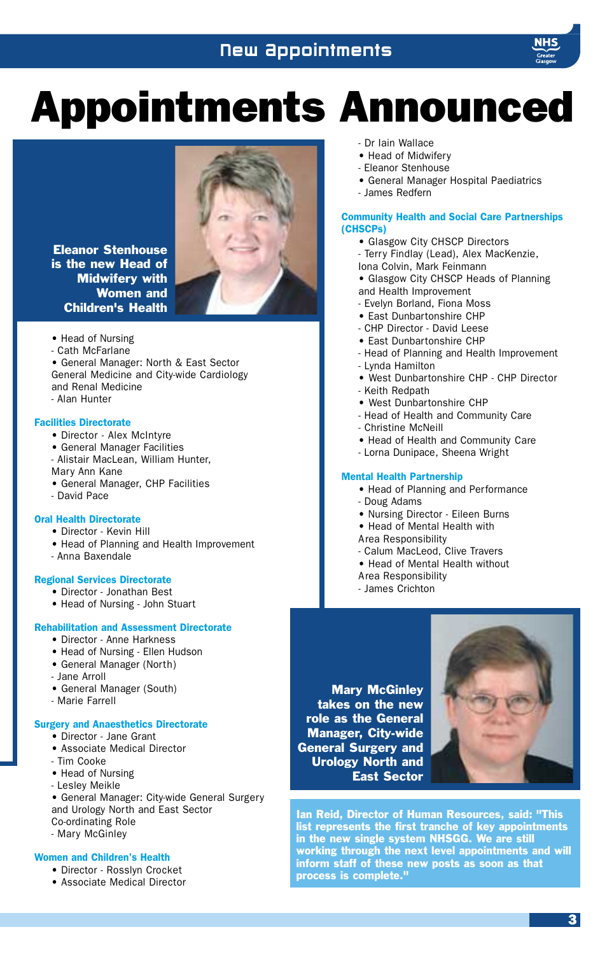## New Appointments



# Appointments Announced



Eleanor Stenhouse is the new Head of Midwifery with Women and Children's Health

- Head of Nursing
- Cath McFarlane
- General Manager: North & East Sector General Medicine and City-wide Cardiology and Renal Medicine
- Alan Hunter

#### Facilities Directorate

- Director Alex McIntyre
- General Manager Facilities
- Alistair MacLean, William Hunter, Mary Ann Kane
- General Manager, CHP Facilities
- David Pace

### Oral Health Directorate

- Director Kevin Hill
- Head of Planning and Health Improvement
- Anna Baxendale

### Regional Services Directorate

- Director Jonathan Best
- Head of Nursing John Stuart

#### Rehabilitation and Assessment Directorate

- Director Anne Harkness
- Head of Nursing Ellen Hudson
- General Manager (North)
- Jane Arroll
- General Manager (South)
- Marie Farrell

## Surgery and Anaesthetics Directorate

- Director Jane Grant
- Associate Medical Director
- Tim Cooke
- Head of Nursing
- Lesley Meikle

• General Manager: City-wide General Surgery and Urology North and East Sector Co-ordinating Role - Mary McGinley

#### Women and Children's Health

- Director Rosslyn Crocket
- Associate Medical Director
- Dr Iain Wallace
- Head of Midwifery
- Eleanor Stenhouse
- General Manager Hospital Paediatrics
- James Redfern

#### Community Health and Social Care Partnerships (CHSCPs)

- Glasgow City CHSCP Directors
- Terry Findlay (Lead), Alex MacKenzie, Iona Colvin, Mark Feinmann
- Glasgow City CHSCP Heads of Planning and Health Improvement
- Evelyn Borland, Fiona Moss
- East Dunbartonshire CHP
- CHP Director David Leese
- East Dunbartonshire CHP
- Head of Planning and Health Improvement
- Lynda Hamilton
- West Dunbartonshire CHP CHP Director
- Keith Redpath
- West Dunbartonshire CHP
- Head of Health and Community Care
- Christine McNeill
- Head of Health and Community Care
- Lorna Dunipace, Sheena Wright

#### Mental Health Partnership

- Head of Planning and Performance
- Doug Adams
- Nursing Director Eileen Burns
- Head of Mental Health with
- Area Responsibility
- Calum MacLeod, Clive Travers
- Head of Mental Health without
- Area Responsibility
- James Crichton

Mary McGinley takes on the new role as the General Manager, City-wide General Surgery and Urology North and East Sector



Ian Reid, Director of Human Resources, said: "This list represents the first tranche of key appointments in the new single system NHSGG. We are still working through the next level appointments and will inform staff of these new posts as soon as that process is complete."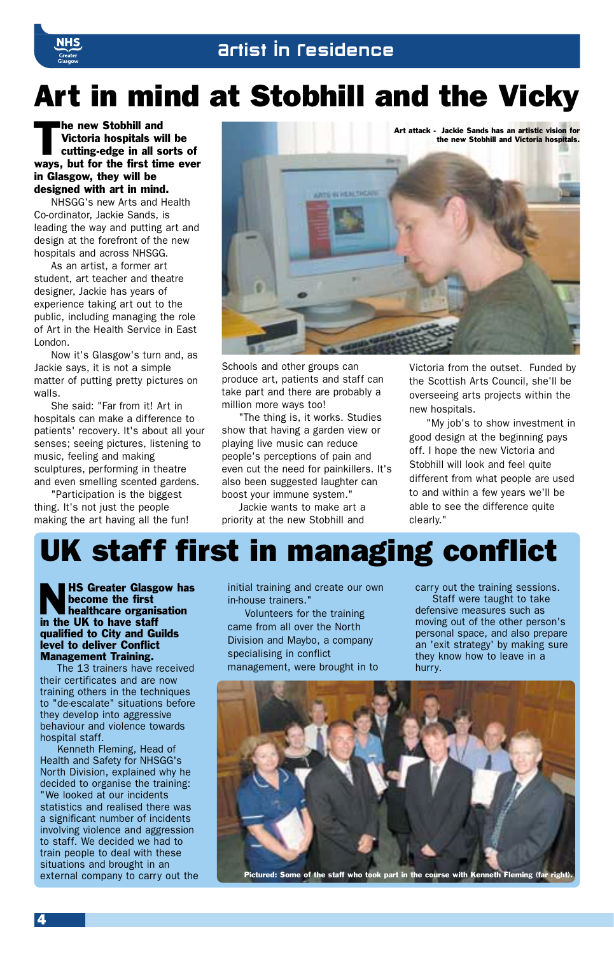## Art in mind at Stobhill and the Vicky

The new Stobhill and<br>Victoria hospitals with<br>cutting-edge in all s Victoria hospitals will be cutting-edge in all sorts of ways, but for the first time ever in Glasgow, they will be designed with art in mind.

NHSGG's new Arts and Health Co-ordinator, Jackie Sands, is leading the way and putting art and design at the forefront of the new hospitals and across NHSGG.

As an artist, a former art student, art teacher and theatre designer, Jackie has years of experience taking art out to the public, including managing the role of Art in the Health Service in East London.

Now it's Glasgow's turn and, as Jackie says, it is not a simple matter of putting pretty pictures on walls.

She said: "Far from it! Art in hospitals can make a difference to patients' recovery. It's about all your senses; seeing pictures, listening to music, feeling and making sculptures, performing in theatre and even smelling scented gardens.

"Participation is the biggest thing. It's not just the people making the art having all the fun!



Schools and other groups can produce art, patients and staff can take part and there are probably a million more ways too!

"The thing is, it works. Studies show that having a garden view or playing live music can reduce people's perceptions of pain and even cut the need for painkillers. It's also been suggested laughter can boost your immune system."

Jackie wants to make art a priority at the new Stobhill and

Victoria from the outset. Funded by the Scottish Arts Council, she'll be overseeing arts projects within the new hospitals.

"My job's to show investment in good design at the beginning pays off. I hope the new Victoria and Stobhill will look and feel quite different from what people are used to and within a few years we'll be able to see the difference quite clearly."

## UK staff first in managing conflict

NHS Greater Glasgow has become the first healthcare organisation in the UK to have staff qualified to City and Guilds level to deliver Conflict Management Training.

The 13 trainers have received their certificates and are now training others in the techniques to "de-escalate" situations before they develop into aggressive behaviour and violence towards hospital staff.

Kenneth Fleming, Head of Health and Safety for NHSGG's North Division, explained why he decided to organise the training: "We looked at our incidents statistics and realised there was a significant number of incidents involving violence and aggression to staff. We decided we had to train people to deal with these situations and brought in an external company to carry out the initial training and create our own in-house trainers."

Volunteers for the training came from all over the North Division and Maybo, a company specialising in conflict management, were brought in to

carry out the training sessions. Staff were taught to take defensive measures such as moving out of the other person's personal space, and also prepare an 'exit strategy' by making sure they know how to leave in a hurry.



Pictured: Some of the staff who took part in the course with Kenneth Fleming (far right).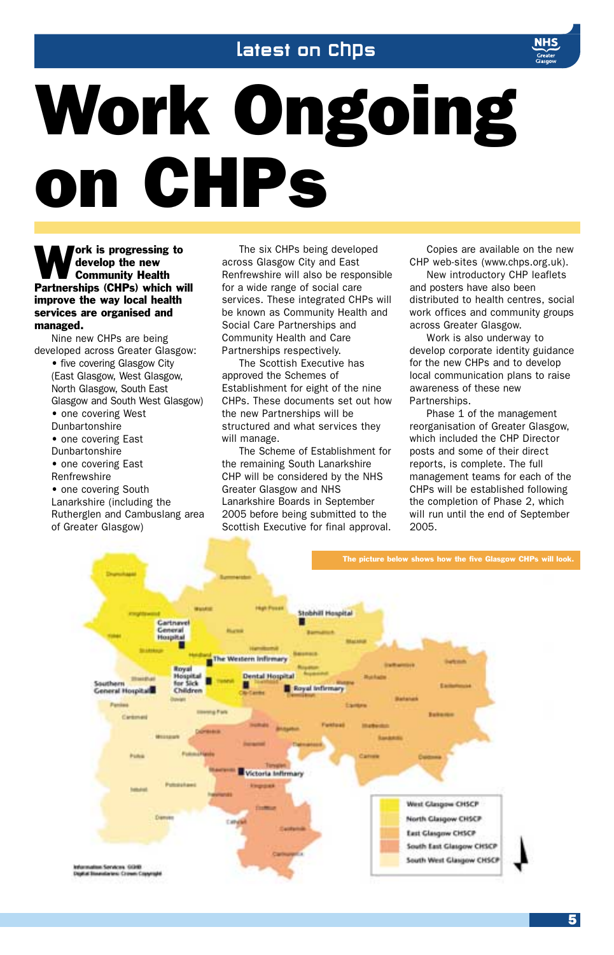## latest on Chps



# Work Ongoing on CHPs

ork is progressing to develop the new Community Health Partnerships (CHPs) which will improve the way local health services are organised and managed.

Nine new CHPs are being developed across Greater Glasgow:

• five covering Glasgow City (East Glasgow, West Glasgow, North Glasgow, South East Glasgow and South West Glasgow) • one covering West Dunbartonshire • one covering East Dunbartonshire • one covering East Renfrewshire • one covering South Lanarkshire (including the

Rutherglen and Cambuslang area of Greater Glasgow)

The six CHPs being developed across Glasgow City and East Renfrewshire will also be responsible for a wide range of social care services. These integrated CHPs will be known as Community Health and Social Care Partnerships and Community Health and Care Partnerships respectively.

The Scottish Executive has approved the Schemes of Establishment for eight of the nine CHPs. These documents set out how the new Partnerships will be structured and what services they will manage.

The Scheme of Establishment for the remaining South Lanarkshire CHP will be considered by the NHS Greater Glasgow and NHS Lanarkshire Boards in September 2005 before being submitted to the Scottish Executive for final approval.

Copies are available on the new CHP web-sites (www.chps.org.uk).

New introductory CHP leaflets and posters have also been distributed to health centres, social work offices and community groups across Greater Glasgow.

Work is also underway to develop corporate identity guidance for the new CHPs and to develop local communication plans to raise awareness of these new Partnerships.

Phase 1 of the management reorganisation of Greater Glasgow, which included the CHP Director posts and some of their direct reports, is complete. The full management teams for each of the CHPs will be established following the completion of Phase 2, which will run until the end of September 2005.

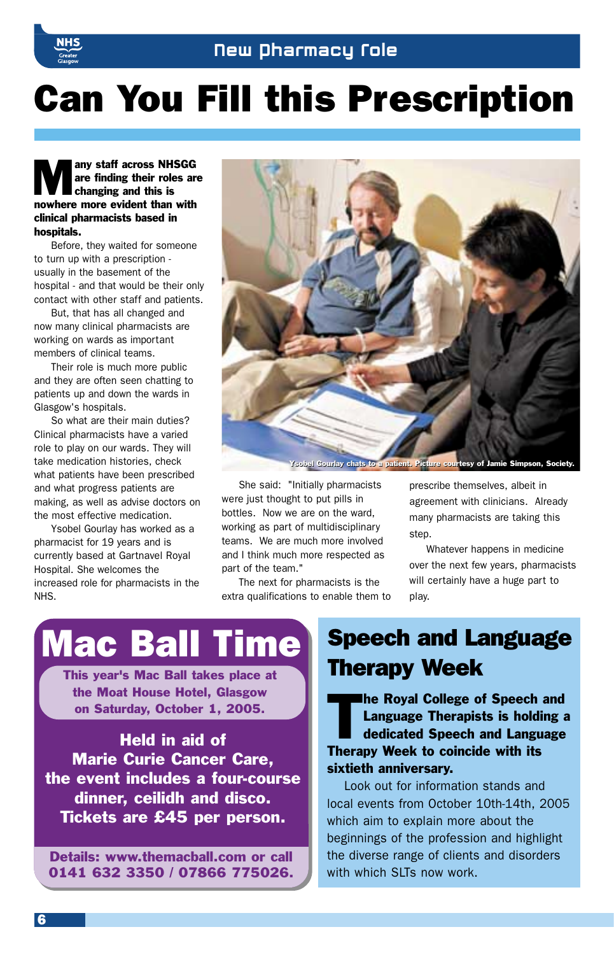

## Can You Fill this Prescription

**Many staff across NHSGG**<br>are finding their roles are<br>changing and this is are finding their roles are changing and this is nowhere more evident than with clinical pharmacists based in hospitals.

Before, they waited for someone to turn up with a prescription usually in the basement of the hospital - and that would be their only contact with other staff and patients.

But, that has all changed and now many clinical pharmacists are working on wards as important members of clinical teams.

Their role is much more public and they are often seen chatting to patients up and down the wards in Glasgow's hospitals.

So what are their main duties? Clinical pharmacists have a varied role to play on our wards. They will take medication histories, check what patients have been prescribed and what progress patients are making, as well as advise doctors on the most effective medication.

Ysobel Gourlay has worked as a pharmacist for 19 years and is currently based at Gartnavel Royal Hospital. She welcomes the increased role for pharmacists in the NHS.



Ysobel Gourlay chats to a patient. Picture courtesy of Jamie Simpson, Society. Ysobel Gourlay chats to a patient. Picture courtesy of Jamie Simpson, Society.

She said: "Initially pharmacists were just thought to put pills in bottles. Now we are on the ward, working as part of multidisciplinary teams. We are much more involved and I think much more respected as part of the team."

The next for pharmacists is the extra qualifications to enable them to prescribe themselves, albeit in agreement with clinicians. Already many pharmacists are taking this step.

Whatever happens in medicine over the next few years, pharmacists will certainly have a huge part to play.

## Mac Ball Time

This year's Mac Ball takes place at the Moat House Hotel, Glasgow on Saturday, October 1, 2005.

Held in aid of Marie Curie Cancer Care, the event includes a four-course dinner, ceilidh and disco. Tickets are £45 per person.

Details: www.themacball.com or call 0141 632 3350 / 07866 775026.

## Speech and Language Therapy Week

**The Royal College of Speech and** Language Therapists is holding a dedicated Speech and Language Therapy Week to coincide with its sixtieth anniversary.

Look out for information stands and local events from October 10th-14th, 2005 which aim to explain more about the beginnings of the profession and highlight the diverse range of clients and disorders with which SLTs now work.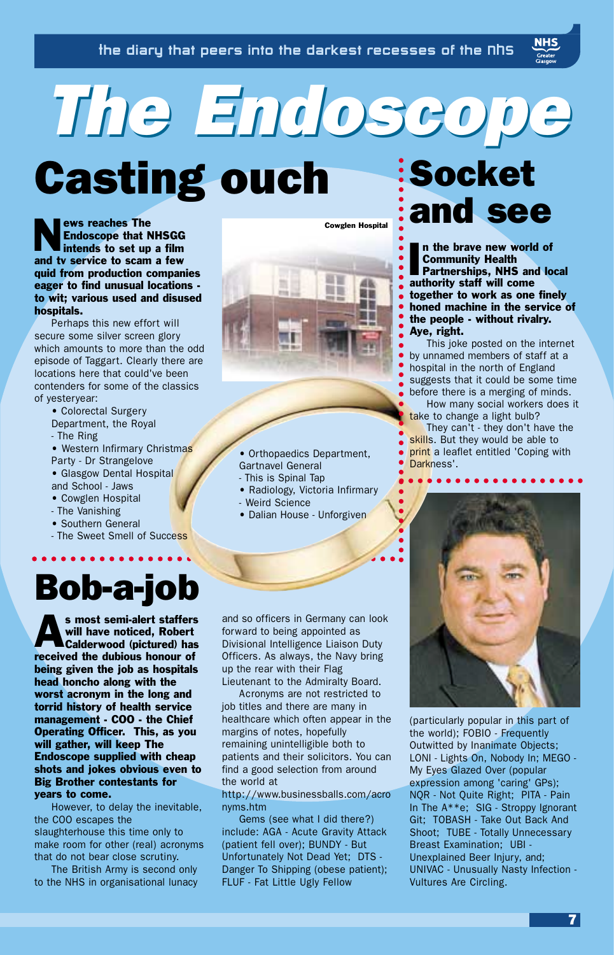*The Endoscope The Endoscope* Casting ouch Socket

**NEW** 

ews reaches The Endoscope that NHSGG intends to set up a film and tv service to scam a few quid from production companies eager to find unusual locations to wit; various used and disused hospitals.

Perhaps this new effort will secure some silver screen glory which amounts to more than the odd episode of Taggart. Clearly there are locations here that could've been contenders for some of the classics of yesteryear:

> • Colorectal Surgery Department, the Royal

- The Ring
- Western Infirmary Christmas Party - Dr Strangelove
- Glasgow Dental Hospital
- and School Jaws
- Cowglen Hospital
- The Vanishing
- Southern General
- The Sweet Smell of Success

## Bob-a-job

s most semi-alert staffers<br>will have noticed, Robert<br>Calderwood (pictured) has will have noticed, Robert Calderwood (pictured) has received the dubious honour of being given the job as hospitals head honcho along with the worst acronym in the long and torrid history of health service management - COO - the Chief Operating Officer. This, as you will gather, will keep The Endoscope supplied with cheap shots and jokes obvious even to Big Brother contestants for years to come.

However, to delay the inevitable, the COO escapes the slaughterhouse this time only to make room for other (real) acronyms that do not bear close scrutiny.

The British Army is second only to the NHS in organisational lunacy and so officers in Germany can look forward to being appointed as Divisional Intelligence Liaison Duty Officers. As always, the Navy bring up the rear with their Flag Lieutenant to the Admiralty Board.

Gartnavel General - This is Spinal Tap

- Weird Science

• Radiology, Victoria Infirmary

• Dalian House - Unforgiven

Acronyms are not restricted to job titles and there are many in healthcare which often appear in the margins of notes, hopefully remaining unintelligible both to patients and their solicitors. You can find a good selection from around the world at

http://www.businessballs.com/acro nyms.htm

Gems (see what I did there?) include: AGA - Acute Gravity Attack (patient fell over); BUNDY - But Unfortunately Not Dead Yet; DTS - Danger To Shipping (obese patient); FLUF - Fat Little Ugly Fellow

and see Cowglen Hospital

> In the brave new work<br>Community Health<br>Partnerships, NHS an<br>authority staff will come n the brave new world of Community Health Partnerships, NHS and local together to work as one finely honed machine in the service of the people - without rivalry. Aye, right.

This joke posted on the internet by unnamed members of staff at a hospital in the north of England suggests that it could be some time before there is a merging of minds.

How many social workers does it take to change a light bulb?

They can't - they don't have the skills. But they would be able to print a leaflet entitled 'Coping with Darkness'. • Orthopaedics Department,



(particularly popular in this part of the world); FOBIO - Frequently Outwitted by Inanimate Objects; LONI - Lights On, Nobody In; MEGO - My Eyes Glazed Over (popular expression among 'caring' GPs); NQR - Not Quite Right; PITA - Pain In The A\*\*e; SIG - Stroppy Ignorant Git; TOBASH - Take Out Back And Shoot; TUBE - Totally Unnecessary Breast Examination; UBI - Unexplained Beer Injury, and; UNIVAC - Unusually Nasty Infection - Vultures Are Circling.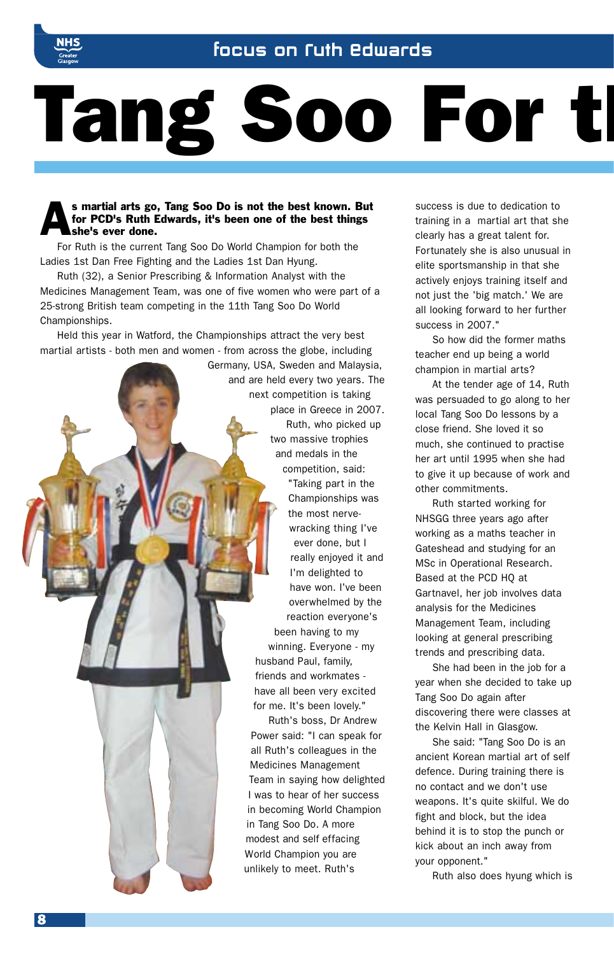

## Focus on Ruth Edwards

# Tang Soo For th

## s martial arts go, Tang Soo Do is not the best known. But<br>for PCD's Ruth Edwards, it's been one of the best things<br>she's ever done. for PCD's Ruth Edwards, it's been one of the best things she's ever done.

For Ruth is the current Tang Soo Do World Champion for both the Ladies 1st Dan Free Fighting and the Ladies 1st Dan Hyung.

Ruth (32), a Senior Prescribing & Information Analyst with the Medicines Management Team, was one of five women who were part of a 25-strong British team competing in the 11th Tang Soo Do World Championships.

Held this year in Watford, the Championships attract the very best martial artists - both men and women - from across the globe, including



success is due to dedication to training in a martial art that she clearly has a great talent for. Fortunately she is also unusual in elite sportsmanship in that she actively enjoys training itself and not just the 'big match.' We are all looking forward to her further success in 2007."

So how did the former maths teacher end up being a world champion in martial arts?

At the tender age of 14, Ruth was persuaded to go along to her local Tang Soo Do lessons by a close friend. She loved it so much, she continued to practise her art until 1995 when she had to give it up because of work and other commitments.

Ruth started working for NHSGG three years ago after working as a maths teacher in Gateshead and studying for an MSc in Operational Research. Based at the PCD HQ at Gartnavel, her job involves data analysis for the Medicines Management Team, including looking at general prescribing trends and prescribing data.

She had been in the job for a year when she decided to take up Tang Soo Do again after discovering there were classes at the Kelvin Hall in Glasgow.

She said: "Tang Soo Do is an ancient Korean martial art of self defence. During training there is no contact and we don't use weapons. It's quite skilful. We do fight and block, but the idea behind it is to stop the punch or kick about an inch away from your opponent."

Ruth also does hyung which is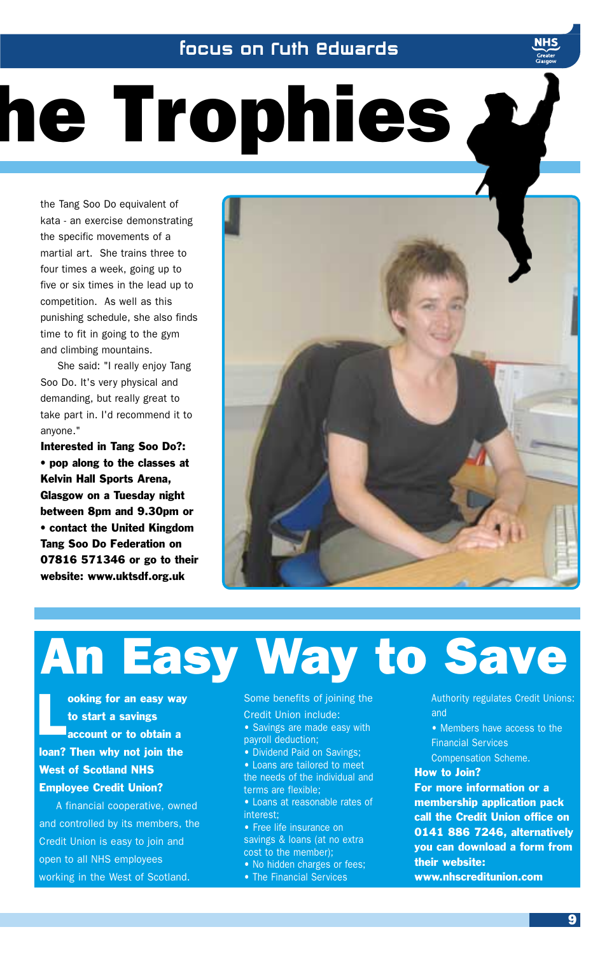## Focus on Ruth Edwards

# he Trophies

the Tang Soo Do equivalent of kata - an exercise demonstrating the specific movements of a martial art. She trains three to four times a week, going up to five or six times in the lead up to competition. As well as this punishing schedule, she also finds time to fit in going to the gym and climbing mountains.

She said: "I really enjoy Tang Soo Do. It's very physical and demanding, but really great to take part in. I'd recommend it to anyone."

Interested in Tang Soo Do?: • pop along to the classes at Kelvin Hall Sports Arena, Glasgow on a Tuesday night between 8pm and 9.30pm or • contact the United Kingdom Tang Soo Do Federation on 07816 571346 or go to their website: www.uktsdf.org.uk



# An Easy Way to Save

**a** cooking for an easy way<br>to start a savings<br>account or to obtain a to start a savings loan? Then why not join the West of Scotland NHS Employee Credit Union?

A financial cooperative, owned and controlled by its members, the Credit Union is easy to join and open to all NHS employees working in the West of Scotland.

Some benefits of joining the Credit Union include:

• Savings are made easy with payroll deduction;

• Dividend Paid on Savings;

• Loans are tailored to meet the needs of the individual and terms are flexible;

• Loans at reasonable rates of interest;

• Free life insurance on savings & loans (at no extra cost to the member);

• No hidden charges or fees; • The Financial Services

Authority regulates Credit Unions: and

• Members have access to the Financial Services

Compensation Scheme.

## How to Join?

For more information or a membership application pack call the Credit Union office on 0141 886 7246, alternatively you can download a form from their website:

www.nhscreditunion.com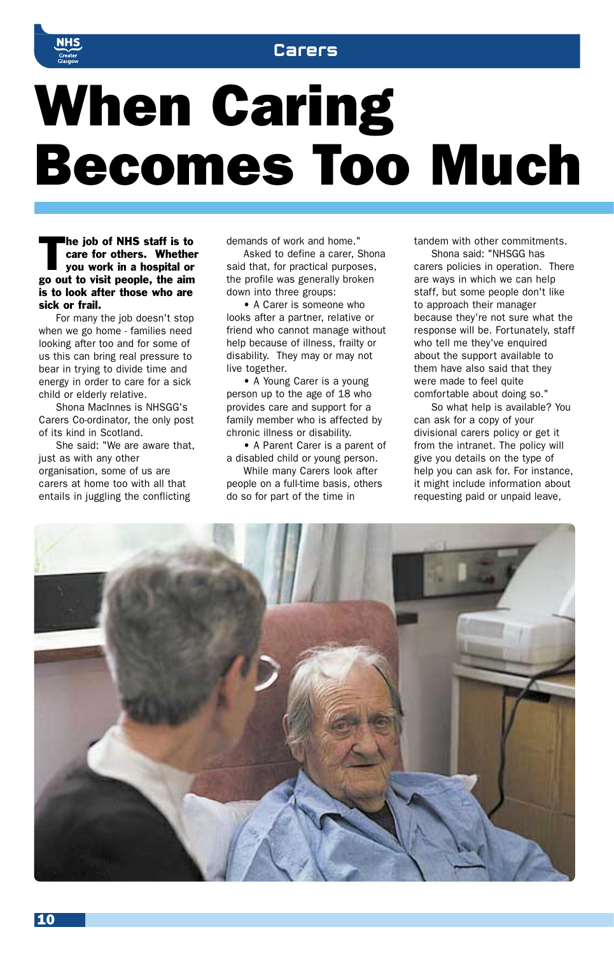

# When Caring Becomes Too Much

The job of NHS staff is to<br>care for others. Whether<br>you work in a hospital or care for others. Whether you work in a hospital or go out to visit people, the aim is to look after those who are sick or frail.

For many the job doesn't stop when we go home - families need looking after too and for some of us this can bring real pressure to bear in trying to divide time and energy in order to care for a sick child or elderly relative.

Shona MacInnes is NHSGG's Carers Co-ordinator, the only post of its kind in Scotland.

She said: "We are aware that, just as with any other organisation, some of us are carers at home too with all that entails in juggling the conflicting

demands of work and home."

Asked to define a carer, Shona said that, for practical purposes, the profile was generally broken down into three groups:

• A Carer is someone who looks after a partner, relative or friend who cannot manage without help because of illness, frailty or disability. They may or may not live together.

• A Young Carer is a young person up to the age of 18 who provides care and support for a family member who is affected by chronic illness or disability.

• A Parent Carer is a parent of a disabled child or young person.

While many Carers look after people on a full-time basis, others do so for part of the time in

tandem with other commitments.

Shona said: "NHSGG has carers policies in operation. There are ways in which we can help staff, but some people don't like to approach their manager because they're not sure what the response will be. Fortunately, staff who tell me they've enquired about the support available to them have also said that they were made to feel quite comfortable about doing so."

So what help is available? You can ask for a copy of your divisional carers policy or get it from the intranet. The policy will give you details on the type of help you can ask for. For instance, it might include information about requesting paid or unpaid leave,

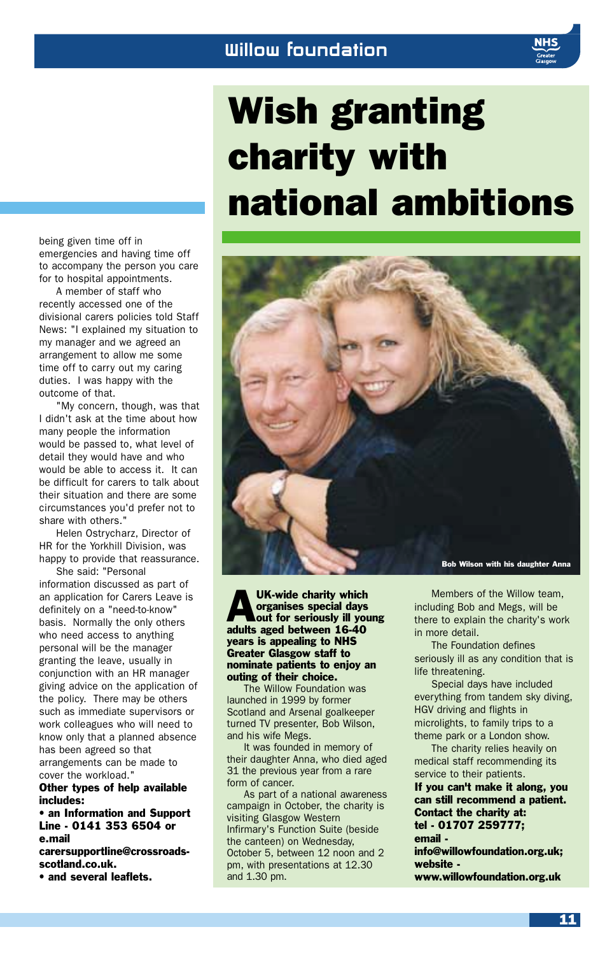## Wish granting charity with national ambitions



UK-wide charity which<br>organises special days<br>out for seriously ill you organises special days out for seriously ill young adults aged between 16-40 years is appealing to NHS Greater Glasgow staff to nominate patients to enjoy an outing of their choice.

The Willow Foundation was launched in 1999 by former Scotland and Arsenal goalkeeper turned TV presenter, Bob Wilson, and his wife Megs.

It was founded in memory of their daughter Anna, who died aged 31 the previous year from a rare form of cancer.

As part of a national awareness campaign in October, the charity is visiting Glasgow Western Infirmary's Function Suite (beside the canteen) on Wednesday, October 5, between 12 noon and 2 pm, with presentations at 12.30 and 1.30 pm.

Members of the Willow team, including Bob and Megs, will be there to explain the charity's work in more detail.

The Foundation defines seriously ill as any condition that is life threatening.

Special days have included everything from tandem sky diving, HGV driving and flights in microlights, to family trips to a theme park or a London show.

The charity relies heavily on medical staff recommending its service to their patients.

If you can't make it along, you can still recommend a patient. Contact the charity at: tel - 01707 259777; email -

info@willowfoundation.org.uk; website www.willowfoundation.org.uk

being given time off in emergencies and having time off to accompany the person you care for to hospital appointments.

A member of staff who recently accessed one of the divisional carers policies told Staff News: "I explained my situation to my manager and we agreed an arrangement to allow me some time off to carry out my caring duties. I was happy with the outcome of that.

"My concern, though, was that I didn't ask at the time about how many people the information would be passed to, what level of detail they would have and who would be able to access it. It can be difficult for carers to talk about their situation and there are some circumstances you'd prefer not to share with others."

Helen Ostrycharz, Director of HR for the Yorkhill Division, was happy to provide that reassurance.

She said: "Personal information discussed as part of an application for Carers Leave is definitely on a "need-to-know" basis. Normally the only others who need access to anything personal will be the manager granting the leave, usually in conjunction with an HR manager giving advice on the application of the policy. There may be others such as immediate supervisors or work colleagues who will need to know only that a planned absence has been agreed so that arrangements can be made to cover the workload."

Other types of help available includes:

• an Information and Support Line - 0141 353 6504 or e.mail carersupportline@crossroads-

scotland.co.uk.

• and several leaflets.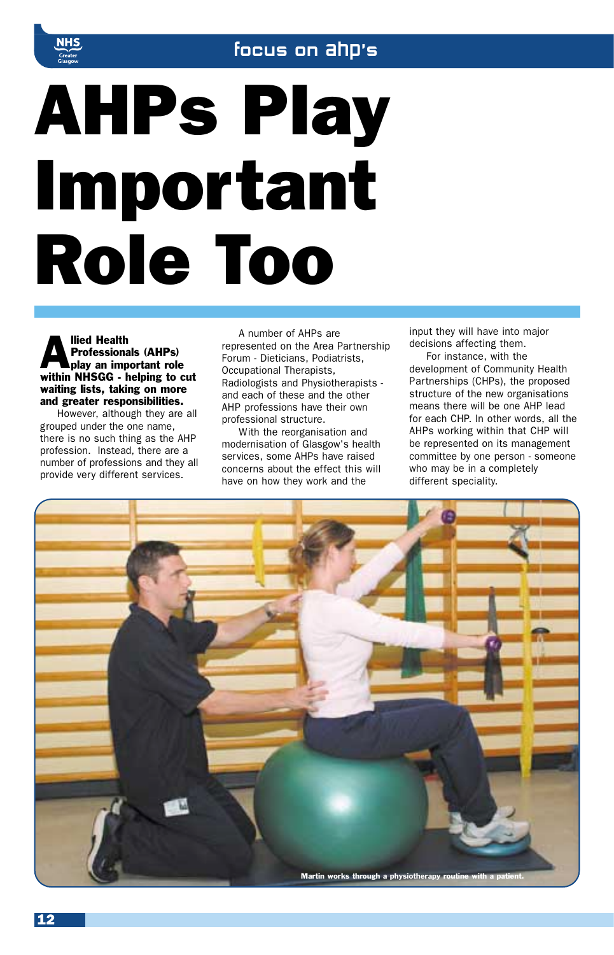

# AHPs Play Important Role Too

Med Health<br>Professionals (AHPs)<br>In an important role Professionals (AHPs) within NHSGG - helping to cut waiting lists, taking on more and greater responsibilities.

However, although they are all grouped under the one name, there is no such thing as the AHP profession. Instead, there are a number of professions and they all provide very different services.

A number of AHPs are represented on the Area Partnership Forum - Dieticians, Podiatrists, Occupational Therapists, Radiologists and Physiotherapists and each of these and the other AHP professions have their own professional structure.

With the reorganisation and modernisation of Glasgow's health services, some AHPs have raised concerns about the effect this will have on how they work and the

input they will have into major decisions affecting them.

For instance, with the development of Community Health Partnerships (CHPs), the proposed structure of the new organisations means there will be one AHP lead for each CHP. In other words, all the AHPs working within that CHP will be represented on its management committee by one person - someone who may be in a completely different speciality.

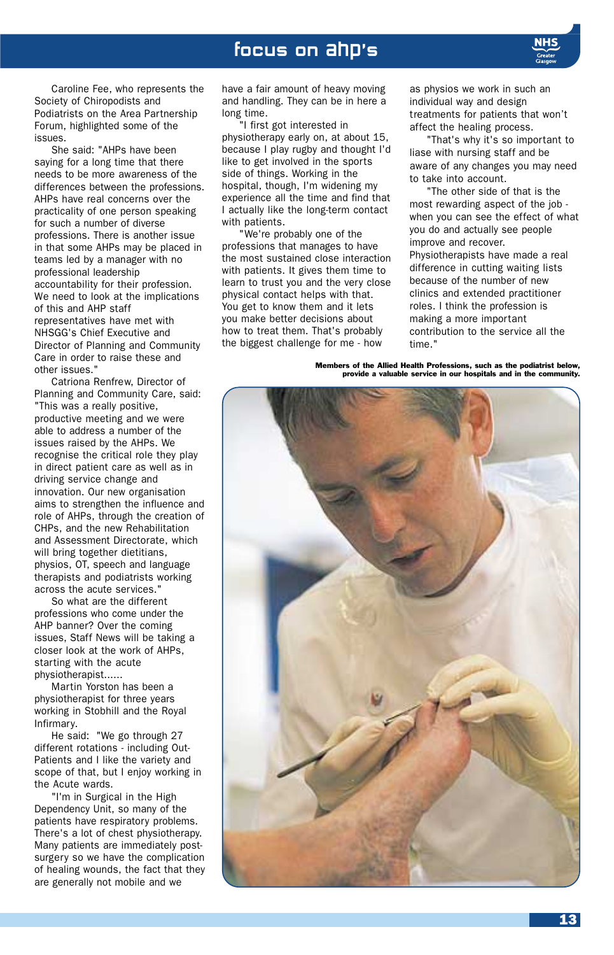

Caroline Fee, who represents the Society of Chiropodists and Podiatrists on the Area Partnership Forum, highlighted some of the issues.

She said: "AHPs have been saying for a long time that there needs to be more awareness of the differences between the professions. AHPs have real concerns over the practicality of one person speaking for such a number of diverse professions. There is another issue in that some AHPs may be placed in teams led by a manager with no professional leadership accountability for their profession. We need to look at the implications of this and AHP staff representatives have met with NHSGG's Chief Executive and Director of Planning and Community Care in order to raise these and other issues."

Catriona Renfrew, Director of Planning and Community Care, said: "This was a really positive, productive meeting and we were able to address a number of the issues raised by the AHPs. We recognise the critical role they play in direct patient care as well as in driving service change and innovation. Our new organisation aims to strengthen the influence and role of AHPs, through the creation of CHPs, and the new Rehabilitation and Assessment Directorate, which will bring together dietitians, physios, OT, speech and language therapists and podiatrists working across the acute services."

So what are the different professions who come under the AHP banner? Over the coming issues, Staff News will be taking a closer look at the work of AHPs, starting with the acute physiotherapist......

Martin Yorston has been a physiotherapist for three years working in Stobhill and the Royal Infirmary.

He said: "We go through 27 different rotations - including Out-Patients and I like the variety and scope of that, but I enjoy working in the Acute wards.

"I'm in Surgical in the High Dependency Unit, so many of the patients have respiratory problems. There's a lot of chest physiotherapy. Many patients are immediately postsurgery so we have the complication of healing wounds, the fact that they are generally not mobile and we

have a fair amount of heavy moving and handling. They can be in here a long time.

"I first got interested in physiotherapy early on, at about 15, because I play rugby and thought I'd like to get involved in the sports side of things. Working in the hospital, though, I'm widening my experience all the time and find that I actually like the long-term contact with patients.

"We're probably one of the professions that manages to have the most sustained close interaction with patients. It gives them time to learn to trust you and the very close physical contact helps with that. You get to know them and it lets you make better decisions about how to treat them. That's probably the biggest challenge for me - how

as physios we work in such an individual way and design treatments for patients that won't affect the healing process.

"That's why it's so important to liase with nursing staff and be aware of any changes you may need to take into account.

"The other side of that is the most rewarding aspect of the job when you can see the effect of what you do and actually see people improve and recover.

Physiotherapists have made a real difference in cutting waiting lists because of the number of new clinics and extended practitioner roles. I think the profession is making a more important contribution to the service all the time."

Members of the Allied Health Professions, such as the podiatrist below, provide a valuable service in our hospitals and in the community.

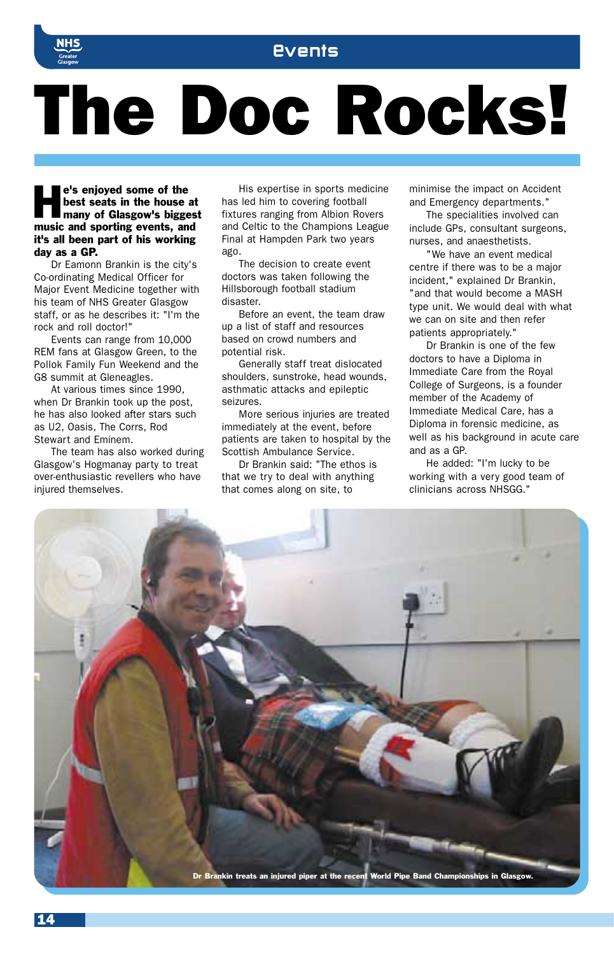

# The Doc Rocks!

e's enjoyed some of the<br>hest seats in the house at<br>many of Glasgow's biggest best seats in the house at music and sporting events, and it's all been part of his working day as a GP.

Dr Eamonn Brankin is the city's Co-ordinating Medical Officer for Major Event Medicine together with his team of NHS Greater Glasgow staff, or as he describes it: "I'm the rock and roll doctor!"

Events can range from 10,000 REM fans at Glasgow Green, to the Pollok Family Fun Weekend and the G8 summit at Gleneagles.

At various times since 1990, when Dr Brankin took up the post, he has also looked after stars such as U2, Oasis, The Corrs, Rod Stewart and Eminem.

The team has also worked during Glasgow's Hogmanay party to treat over-enthusiastic revellers who have injured themselves.

His expertise in sports medicine has led him to covering football fixtures ranging from Albion Rovers and Celtic to the Champions League Final at Hampden Park two years ago.

The decision to create event doctors was taken following the Hillsborough football stadium disaster.

Before an event, the team draw up a list of staff and resources based on crowd numbers and potential risk.

Generally staff treat dislocated shoulders, sunstroke, head wounds, asthmatic attacks and epileptic seizures.

More serious injuries are treated immediately at the event, before patients are taken to hospital by the Scottish Ambulance Service.

Dr Brankin said: "The ethos is that we try to deal with anything that comes along on site, to

minimise the impact on Accident and Emergency departments."

The specialities involved can include GPs, consultant surgeons, nurses, and anaesthetists.

"We have an event medical centre if there was to be a major incident," explained Dr Brankin, "and that would become a MASH type unit. We would deal with what we can on site and then refer patients appropriately."

Dr Brankin is one of the few doctors to have a Diploma in Immediate Care from the Royal College of Surgeons, is a founder member of the Academy of Immediate Medical Care, has a Diploma in forensic medicine, as well as his background in acute care and as a GP.

He added: "I'm lucky to be working with a very good team of clinicians across NHSGG."

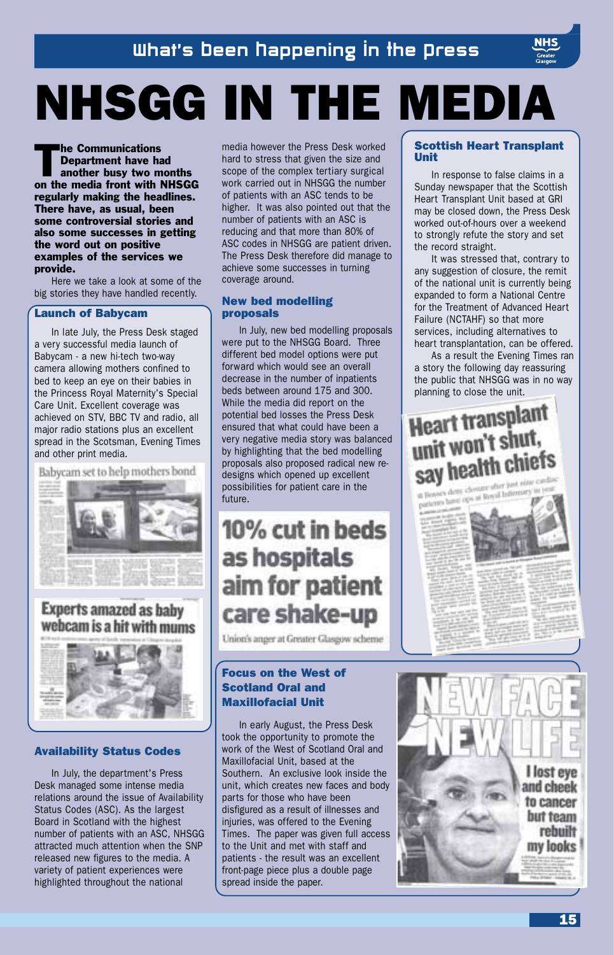# NHSGG IN THE MEDIA

The Communications<br>Department have hand<br>another busy two m Department have had another busy two months on the media front with NHSGG regularly making the headlines. There have, as usual, been some controversial stories and also some successes in getting the word out on positive examples of the services we provide.

Here we take a look at some of the big stories they have handled recently.

### Launch of Babycam

In late July, the Press Desk staged a very successful media launch of Babycam - a new hi-tech two-way camera allowing mothers confined to bed to keep an eye on their babies in the Princess Royal Maternity's Special Care Unit. Excellent coverage was achieved on STV, BBC TV and radio, all major radio stations plus an excellent spread in the Scotsman, Evening Times and other print media.

Babycam set to help mothers bond **Experts amazed as baby** webcam is a hit with mums



## Availability Status Codes

In July, the department's Press Desk managed some intense media relations around the issue of Availability Status Codes (ASC). As the largest Board in Scotland with the highest number of patients with an ASC, NHSGG attracted much attention when the SNP released new figures to the media. A variety of patient experiences were highlighted throughout the national

media however the Press Desk worked hard to stress that given the size and scope of the complex tertiary surgical work carried out in NHSGG the number of patients with an ASC tends to be higher. It was also pointed out that the number of patients with an ASC is reducing and that more than 80% of ASC codes in NHSGG are patient driven. The Press Desk therefore did manage to achieve some successes in turning coverage around.

## New bed modelling proposals

In July, new bed modelling proposals were put to the NHSGG Board. Three different bed model options were put forward which would see an overall decrease in the number of inpatients beds between around 175 and 300. While the media did report on the potential bed losses the Press Desk ensured that what could have been a very negative media story was balanced by highlighting that the bed modelling proposals also proposed radical new redesigns which opened up excellent possibilities for patient care in the future.

## 10% cut in beds as hospitals aim for patient care shake-up

Union's anger at Greater Glasgow scheme

## Focus on the West of Scotland Oral and Maxillofacial Unit

In early August, the Press Desk took the opportunity to promote the work of the West of Scotland Oral and Maxillofacial Unit, based at the Southern. An exclusive look inside the unit, which creates new faces and body parts for those who have been disfigured as a result of illnesses and injuries, was offered to the Evening Times. The paper was given full access to the Unit and met with staff and patients - the result was an excellent front-page piece plus a double page spread inside the paper.

## Scottish Heart Transplant Unit

In response to false claims in a Sunday newspaper that the Scottish Heart Transplant Unit based at GRI may be closed down, the Press Desk worked out-of-hours over a weekend to strongly refute the story and set the record straight.

It was stressed that, contrary to any suggestion of closure, the remit of the national unit is currently being expanded to form a National Centre for the Treatment of Advanced Heart Failure (NCTAHF) so that more services, including alternatives to heart transplantation, can be offered.

As a result the Evening Times ran a story the following day reassuring the public that NHSGG was in no way planning to close the unit.

## **Heart transplant** unit won't shut. say health chiefs a Bossey draw closurer where just nine can

in Bossers drive closurer when and rose in